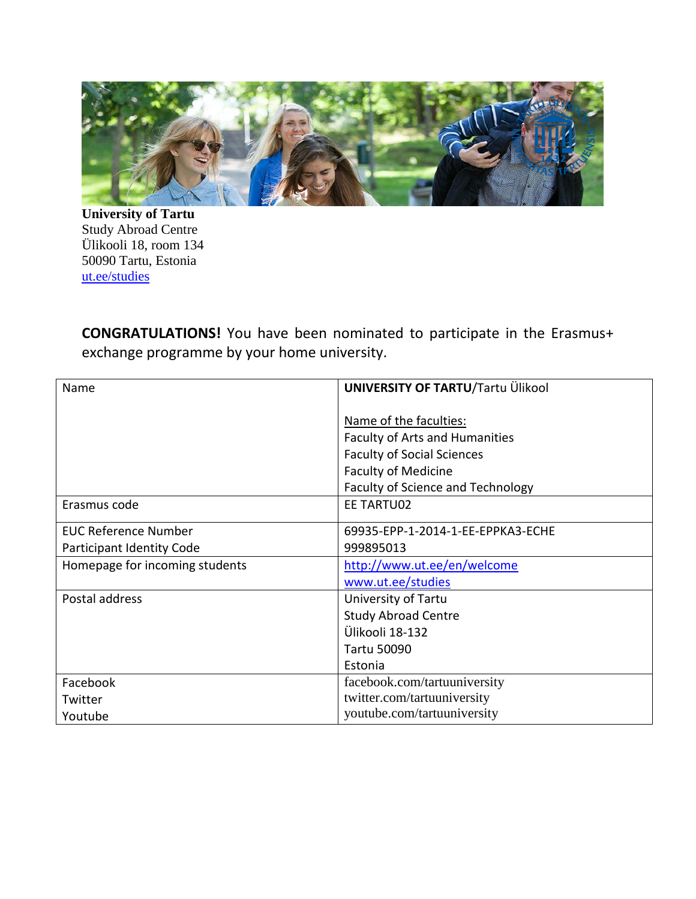

**University of Tartu** Study Abroad Centre Ülikooli 18, room 134 50090 Tartu, Estonia [ut.ee/studies](http://www.ut.ee/studies) 

**CONGRATULATIONS!** You have been nominated to participate in the Erasmus+ exchange programme by your home university.

| Name                           | <b>UNIVERSITY OF TARTU/Tartu Ülikool</b> |
|--------------------------------|------------------------------------------|
|                                |                                          |
|                                | Name of the faculties:                   |
|                                | <b>Faculty of Arts and Humanities</b>    |
|                                | <b>Faculty of Social Sciences</b>        |
|                                | <b>Faculty of Medicine</b>               |
|                                | <b>Faculty of Science and Technology</b> |
| Erasmus code                   | EE TARTU02                               |
| <b>EUC Reference Number</b>    | 69935-EPP-1-2014-1-EE-EPPKA3-ECHE        |
| Participant Identity Code      | 999895013                                |
| Homepage for incoming students | http://www.ut.ee/en/welcome              |
|                                | www.ut.ee/studies                        |
| Postal address                 | University of Tartu                      |
|                                | <b>Study Abroad Centre</b>               |
|                                | Ülikooli 18-132                          |
|                                | <b>Tartu 50090</b>                       |
|                                | Estonia                                  |
| Facebook                       | facebook.com/tartuuniversity             |
| Twitter                        | twitter.com/tartuuniversity              |
| Youtube                        | youtube.com/tartuuniversity              |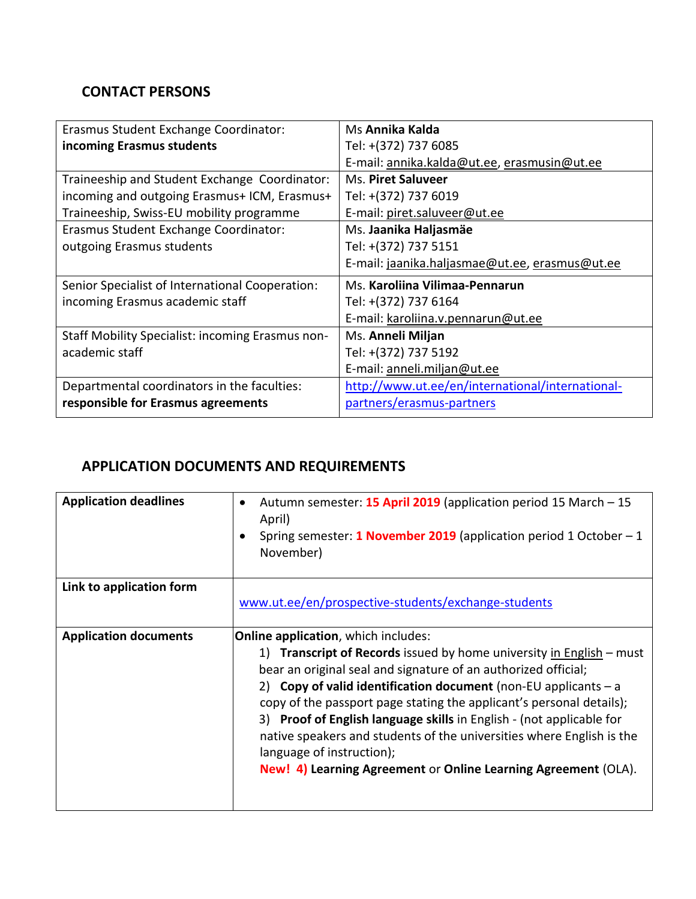### **CONTACT PERSONS**

| Erasmus Student Exchange Coordinator:            | Ms Annika Kalda                                  |
|--------------------------------------------------|--------------------------------------------------|
| incoming Erasmus students                        | Tel: +(372) 737 6085                             |
|                                                  | E-mail: annika.kalda@ut.ee, erasmusin@ut.ee      |
| Traineeship and Student Exchange Coordinator:    | Ms. Piret Saluveer                               |
| incoming and outgoing Erasmus+ ICM, Erasmus+     | Tel: +(372) 737 6019                             |
| Traineeship, Swiss-EU mobility programme         | E-mail: piret.saluveer@ut.ee                     |
| Erasmus Student Exchange Coordinator:            | Ms. Jaanika Haljasmäe                            |
| outgoing Erasmus students                        | Tel: +(372) 737 5151                             |
|                                                  | E-mail: jaanika.haljasmae@ut.ee, erasmus@ut.ee   |
| Senior Specialist of International Cooperation:  | Ms. Karoliina Vilimaa-Pennarun                   |
| incoming Erasmus academic staff                  | Tel: +(372) 737 6164                             |
|                                                  | E-mail: karoliina.v.pennarun@ut.ee               |
| Staff Mobility Specialist: incoming Erasmus non- | Ms. Anneli Miljan                                |
| academic staff                                   | Tel: +(372) 737 5192                             |
|                                                  | E-mail: anneli.miljan@ut.ee                      |
| Departmental coordinators in the faculties:      | http://www.ut.ee/en/international/international- |
| responsible for Erasmus agreements               | partners/erasmus-partners                        |

# **APPLICATION DOCUMENTS AND REQUIREMENTS**

| <b>Application deadlines</b> | Autumn semester: 15 April 2019 (application period 15 March - 15<br>$\bullet$<br>April)<br>Spring semester: 1 November 2019 (application period 1 October $-1$<br>$\bullet$<br>November)                                                                                                                                                                                                                                                                                                                                                                                                |
|------------------------------|-----------------------------------------------------------------------------------------------------------------------------------------------------------------------------------------------------------------------------------------------------------------------------------------------------------------------------------------------------------------------------------------------------------------------------------------------------------------------------------------------------------------------------------------------------------------------------------------|
| Link to application form     | www.ut.ee/en/prospective-students/exchange-students                                                                                                                                                                                                                                                                                                                                                                                                                                                                                                                                     |
| <b>Application documents</b> | <b>Online application, which includes:</b><br>1) Transcript of Records issued by home university in English – must<br>bear an original seal and signature of an authorized official;<br>2) Copy of valid identification document (non-EU applicants $-a$<br>copy of the passport page stating the applicant's personal details);<br>3) Proof of English language skills in English - (not applicable for<br>native speakers and students of the universities where English is the<br>language of instruction);<br><b>New! 4) Learning Agreement or Online Learning Agreement (OLA).</b> |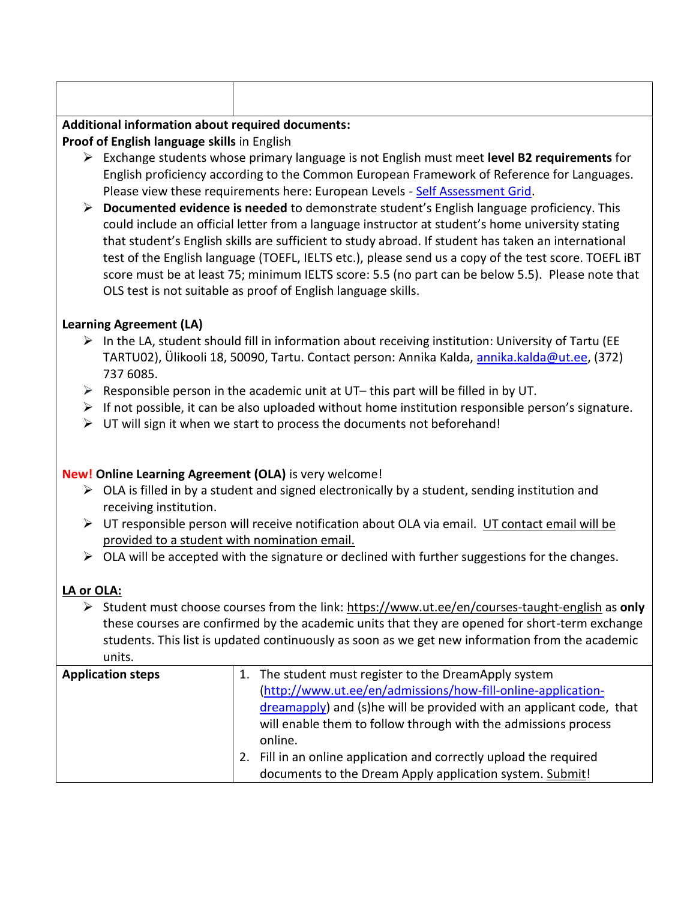# **Additional information about required documents:**

**Proof of English language skills** in English

- Exchange students whose primary language is not English must meet **level B2 requirements** for English proficiency according to the Common European Framework of Reference for Languages. Please view these requirements here: European Levels - [Self Assessment Grid.](http://www.ut.ee/sites/default/files/ut_files/da5a424f8e5f32f1d2b3239b55df9293.pdf)
- **Documented evidence is needed** to demonstrate student's English language proficiency. This could include an official letter from a language instructor at student's home university stating that student's English skills are sufficient to study abroad. If student has taken an international test of the English language (TOEFL, IELTS etc.), please send us a copy of the test score. TOEFL iBT score must be at least 75; minimum IELTS score: 5.5 (no part can be below 5.5). Please note that OLS test is not suitable as proof of English language skills.

### **Learning Agreement (LA)**

- $\triangleright$  In the LA, student should fill in information about receiving institution: University of Tartu (EE TARTU02), Ülikooli 18, 50090, Tartu. Contact person: Annika Kalda, [annika.kalda@ut.ee,](mailto:annika.kalda@ut.ee) (372) 737 6085.
- $\triangleright$  Responsible person in the academic unit at UT– this part will be filled in by UT.
- $\triangleright$  If not possible, it can be also uploaded without home institution responsible person's signature.
- $\triangleright$  UT will sign it when we start to process the documents not beforehand!

### **New! Online Learning Agreement (OLA)** is very welcome!

- $\triangleright$  OLA is filled in by a student and signed electronically by a student, sending institution and receiving institution.
- $\triangleright$  UT responsible person will receive notification about OLA via email. UT contact email will be provided to a student with nomination email.
- $\triangleright$  OLA will be accepted with the signature or declined with further suggestions for the changes.

# **LA or OLA:**

 Student must choose courses from the link:<https://www.ut.ee/en/courses-taught-english> as **only**  these courses are confirmed by the academic units that they are opened for short-term exchange students. This list is updated continuously as soon as we get new information from the academic units.

| <b>Application steps</b> |    | The student must register to the DreamApply system                   |
|--------------------------|----|----------------------------------------------------------------------|
|                          |    | (http://www.ut.ee/en/admissions/how-fill-online-application-         |
|                          |    | dreamapply) and (s) he will be provided with an applicant code, that |
|                          |    | will enable them to follow through with the admissions process       |
|                          |    | online.                                                              |
|                          | 2. | Fill in an online application and correctly upload the required      |
|                          |    | documents to the Dream Apply application system. Submit!             |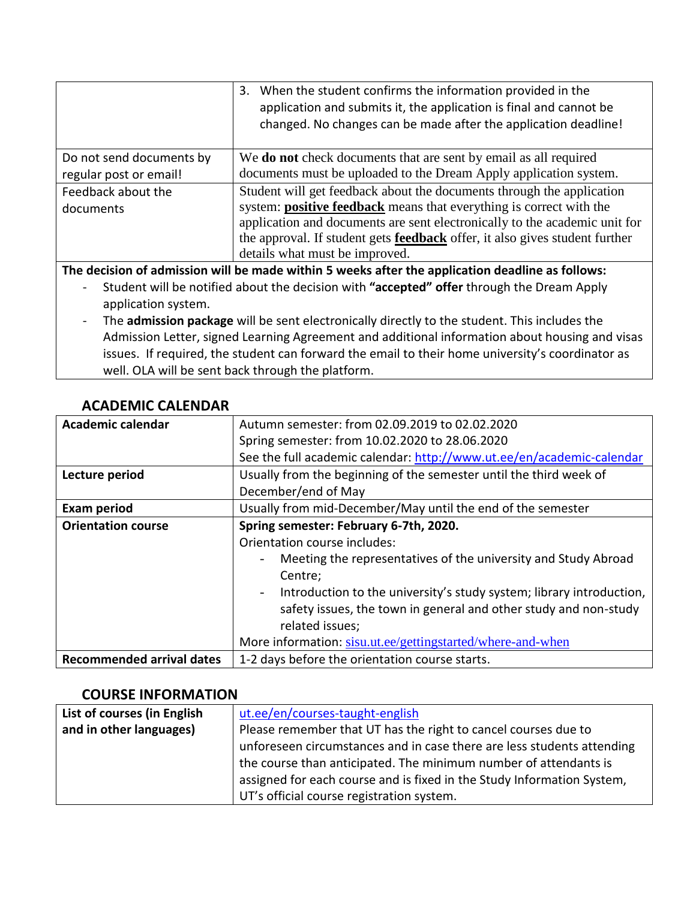|                          | 3. When the student confirms the information provided in the<br>application and submits it, the application is final and cannot be<br>changed. No changes can be made after the application deadline! |
|--------------------------|-------------------------------------------------------------------------------------------------------------------------------------------------------------------------------------------------------|
| Do not send documents by | We <b>do not</b> check documents that are sent by email as all required                                                                                                                               |
| regular post or email!   | documents must be uploaded to the Dream Apply application system.                                                                                                                                     |
| Feedback about the       | Student will get feedback about the documents through the application                                                                                                                                 |
| documents                | system: <b>positive feedback</b> means that everything is correct with the                                                                                                                            |
|                          | application and documents are sent electronically to the academic unit for                                                                                                                            |
|                          | the approval. If student gets <b>feedback</b> offer, it also gives student further                                                                                                                    |
|                          | details what must be improved.                                                                                                                                                                        |

**The decision of admission will be made within 5 weeks after the application deadline as follows:**

- Student will be notified about the decision with **"accepted" offer** through the Dream Apply application system.
- The **admission package** will be sent electronically directly to the student. This includes the Admission Letter, signed Learning Agreement and additional information about housing and visas issues. If required, the student can forward the email to their home university's coordinator as well. OLA will be sent back through the platform.

| <b>Academic calendar</b>         | Autumn semester: from 02.09.2019 to 02.02.2020                        |
|----------------------------------|-----------------------------------------------------------------------|
|                                  | Spring semester: from 10.02.2020 to 28.06.2020                        |
|                                  | See the full academic calendar: http://www.ut.ee/en/academic-calendar |
| Lecture period                   | Usually from the beginning of the semester until the third week of    |
|                                  | December/end of May                                                   |
| <b>Exam period</b>               | Usually from mid-December/May until the end of the semester           |
| <b>Orientation course</b>        | Spring semester: February 6-7th, 2020.                                |
|                                  | Orientation course includes:                                          |
|                                  | Meeting the representatives of the university and Study Abroad        |
|                                  | Centre;                                                               |
|                                  | Introduction to the university's study system; library introduction,  |
|                                  | safety issues, the town in general and other study and non-study      |
|                                  | related issues;                                                       |
|                                  | More information: sisu.ut.ee/gettingstarted/where-and-when            |
| <b>Recommended arrival dates</b> | 1-2 days before the orientation course starts.                        |

#### **ACADEMIC CALENDAR**

#### **COURSE INFORMATION**

| List of courses (in English | ut.ee/en/courses-taught-english                                        |
|-----------------------------|------------------------------------------------------------------------|
| and in other languages)     | Please remember that UT has the right to cancel courses due to         |
|                             | unforeseen circumstances and in case there are less students attending |
|                             | the course than anticipated. The minimum number of attendants is       |
|                             | assigned for each course and is fixed in the Study Information System, |
|                             | UT's official course registration system.                              |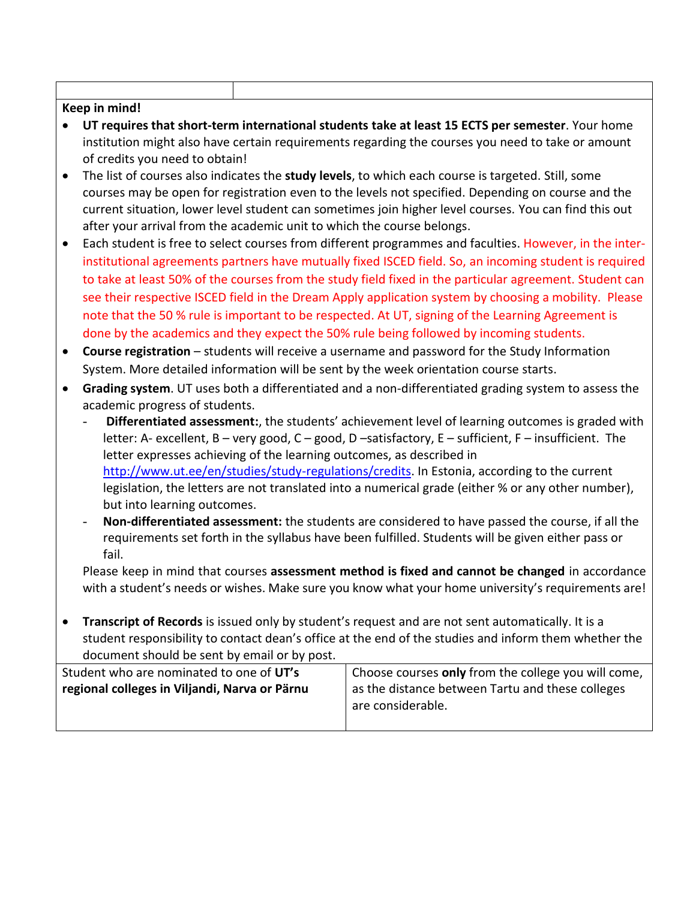#### **Keep in mind!**

- **UT requires that short-term international students take at least 15 ECTS per semester**. Your home institution might also have certain requirements regarding the courses you need to take or amount of credits you need to obtain!
- The list of courses also indicates the **study levels**, to which each course is targeted. Still, some courses may be open for registration even to the levels not specified. Depending on course and the current situation, lower level student can sometimes join higher level courses. You can find this out after your arrival from the academic unit to which the course belongs.
- Each student is free to select courses from different programmes and faculties. However, in the interinstitutional agreements partners have mutually fixed ISCED field. So, an incoming student is required to take at least 50% of the courses from the study field fixed in the particular agreement. Student can see their respective ISCED field in the Dream Apply application system by choosing a mobility. Please note that the 50 % rule is important to be respected. At UT, signing of the Learning Agreement is done by the academics and they expect the 50% rule being followed by incoming students.
- **Course registration** students will receive a username and password for the Study Information System. More detailed information will be sent by the week orientation course starts.
- **Grading system**. UT uses both a differentiated and a non-differentiated grading system to assess the academic progress of students.
	- **Differentiated assessment:**, the students' achievement level of learning outcomes is graded with letter: A- excellent, B – very good, C – good, D –satisfactory, E – sufficient, F – insufficient. The letter expresses achieving of the learning outcomes, as described in [http://www.ut.ee/en/studies/study-regulations/credits.](http://www.ut.ee/en/studies/study-regulations/credits) In Estonia, according to the current legislation, the letters are not translated into a numerical grade (either % or any other number), but into learning outcomes.
	- **Non-differentiated assessment:** the students are considered to have passed the course, if all the requirements set forth in the syllabus have been fulfilled. Students will be given either pass or fail.

Please keep in mind that courses **assessment method is fixed and cannot be changed** in accordance with a student's needs or wishes. Make sure you know what your home university's requirements are!

 **Transcript of Records** is issued only by student's request and are not sent automatically. It is a student responsibility to contact dean's office at the end of the studies and inform them whether the document should be sent by email or by post.

| Student who are nominated to one of UT's      | Choose courses only from the college you will come, |
|-----------------------------------------------|-----------------------------------------------------|
| regional colleges in Viljandi, Narva or Pärnu | as the distance between Tartu and these colleges    |
|                                               | are considerable.                                   |
|                                               |                                                     |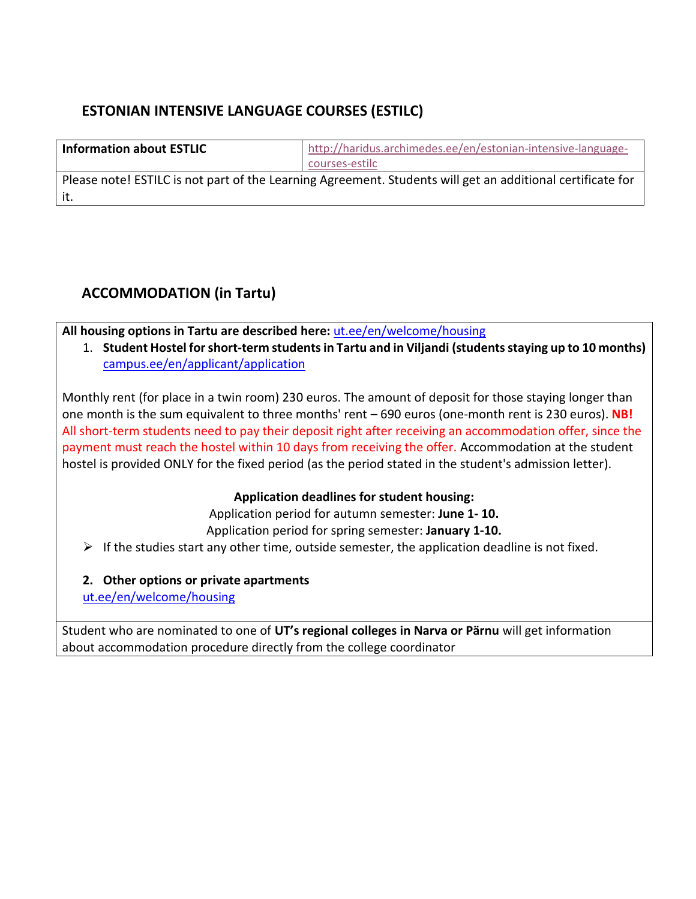### **ESTONIAN INTENSIVE LANGUAGE COURSES (ESTILC)**

| <b>Information about ESTLIC</b> | http://haridus.archimedes.ee/en/estonian-intensive-language- |
|---------------------------------|--------------------------------------------------------------|
|                                 | courses-estilc                                               |

Please note! ESTILC is not part of the Learning Agreement. Students will get an additional certificate for it.

# **ACCOMMODATION (in Tartu)**

**All housing options in Tartu are described here:** [ut.ee/en/welcome/housing](http://www.ut.ee/en/welcome/housing)

1. **Student Hostel for short-term studentsin Tartu and in Viljandi (students staying up to 10 months)** [campus.ee/en/applicant/application](http://www.campus.ee/en/applicant/application)

Monthly rent (for place in a twin room) 230 euros. The amount of deposit for those staying longer than one month is the sum equivalent to three months' rent – 690 euros (one-month rent is 230 euros). **NB!** All short-term students need to pay their deposit right after receiving an accommodation offer, since the payment must reach the hostel within 10 days from receiving the offer. Accommodation at the student hostel is provided ONLY for the fixed period (as the period stated in the student's admission letter).

#### **Application deadlines for student housing:**

Application period for autumn semester: **June 1- 10.** Application period for spring semester: **January 1-10.**

 $\triangleright$  If the studies start any other time, outside semester, the application deadline is not fixed.

**2. Other options or private apartments**

[ut.ee/en/welcome/housing](http://www.ut.ee/en/welcome/housing)

Student who are nominated to one of **UT's regional colleges in Narva or Pärnu** will get information about accommodation procedure directly from the college coordinator